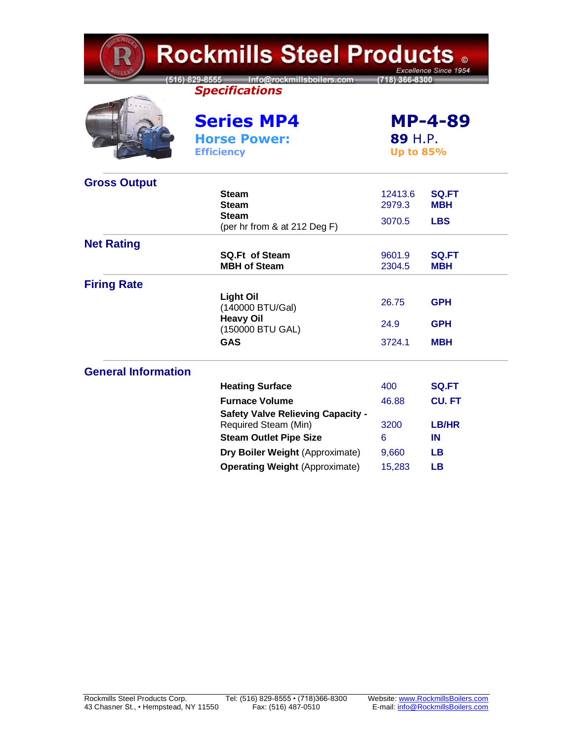| <b>Rockmills Steel Products .</b><br>Excellence Since 1954 |                                                                  |                                               |                            |  |  |
|------------------------------------------------------------|------------------------------------------------------------------|-----------------------------------------------|----------------------------|--|--|
|                                                            | 516) 829-8555 Info@rockmillsboilers.com<br><b>Specifications</b> | (718) 366-8300                                |                            |  |  |
|                                                            | <b>Series MP4</b><br><b>Horse Power:</b><br><b>Efficiency</b>    | <b>MP-4-89</b><br>89 H.P.<br><b>Up to 85%</b> |                            |  |  |
| <b>Gross Output</b>                                        |                                                                  |                                               |                            |  |  |
|                                                            | <b>Steam</b><br><b>Steam</b>                                     | 12413.6<br>2979.3                             | <b>SQ.FT</b><br><b>MBH</b> |  |  |
|                                                            | <b>Steam</b><br>(per hr from & at 212 Deg F)                     | 3070.5                                        | <b>LBS</b>                 |  |  |
| <b>Net Rating</b>                                          |                                                                  |                                               |                            |  |  |
|                                                            | <b>SQ.Ft of Steam</b><br><b>MBH of Steam</b>                     | 9601.9<br>2304.5                              | <b>SQ.FT</b><br>мвн        |  |  |
| <b>Firing Rate</b>                                         |                                                                  |                                               |                            |  |  |
|                                                            | <b>Light Oil</b><br>(140000 BTU/Gal)                             | 26.75                                         | <b>GPH</b>                 |  |  |
|                                                            | <b>Heavy Oil</b><br>(150000 BTU GAL)                             | 24.9                                          | GPH                        |  |  |
|                                                            | <b>GAS</b>                                                       | 3724.1                                        | <b>MBH</b>                 |  |  |
| <b>General Information</b>                                 |                                                                  |                                               |                            |  |  |
|                                                            | <b>Heating Surface</b>                                           | 400                                           | <b>SQ.FT</b>               |  |  |
|                                                            | <b>Furnace Volume</b>                                            | 46.88                                         | <b>CU.FT</b>               |  |  |
|                                                            | <b>Safety Valve Relieving Capacity -</b><br>Required Steam (Min) | 3200                                          | LB/HR                      |  |  |
|                                                            | <b>Steam Outlet Pipe Size</b>                                    | 6                                             | IN                         |  |  |
|                                                            | Dry Boiler Weight (Approximate)                                  | 9,660                                         | LВ                         |  |  |
|                                                            | <b>Operating Weight (Approximate)</b>                            | 15,283                                        | LВ                         |  |  |

**TEMP**